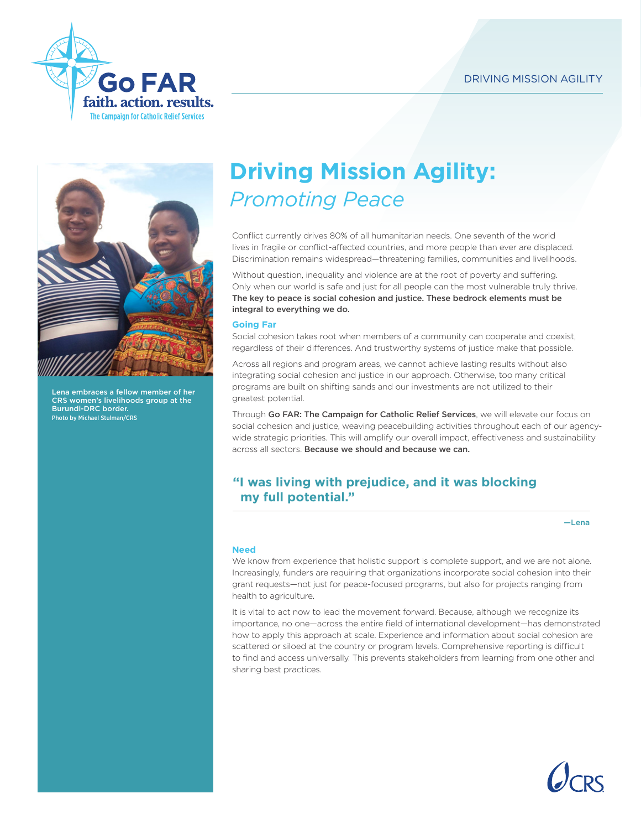



Lena embraces a fellow member of her CRS women's livelihoods group at the Burundi-DRC border. Photo by Michael Stulman/CRS

# **Driving Mission Agility:**  *Promoting Peace*

Conflict currently drives 80% of all humanitarian needs. One seventh of the world lives in fragile or conflict-affected countries, and more people than ever are displaced. Discrimination remains widespread—threatening families, communities and livelihoods.

Without question, inequality and violence are at the root of poverty and suffering. Only when our world is safe and just for all people can the most vulnerable truly thrive. The key to peace is social cohesion and justice. These bedrock elements must be integral to everything we do.

## **Going Far**

Social cohesion takes root when members of a community can cooperate and coexist, regardless of their differences. And trustworthy systems of justice make that possible.

Across all regions and program areas, we cannot achieve lasting results without also integrating social cohesion and justice in our approach. Otherwise, too many critical programs are built on shifting sands and our investments are not utilized to their greatest potential.

Through Go FAR: The Campaign for Catholic Relief Services, we will elevate our focus on social cohesion and justice, weaving peacebuilding activities throughout each of our agencywide strategic priorities. This will amplify our overall impact, effectiveness and sustainability across all sectors. Because we should and because we can.

# **"I was living with prejudice, and it was blocking my full potential."**

 $-I$  ena

## **Need**

We know from experience that holistic support is complete support, and we are not alone. Increasingly, funders are requiring that organizations incorporate social cohesion into their grant requests—not just for peace-focused programs, but also for projects ranging from health to agriculture.

It is vital to act now to lead the movement forward. Because, although we recognize its importance, no one—across the entire field of international development—has demonstrated how to apply this approach at scale. Experience and information about social cohesion are scattered or siloed at the country or program levels. Comprehensive reporting is difficult to find and access universally. This prevents stakeholders from learning from one other and sharing best practices.